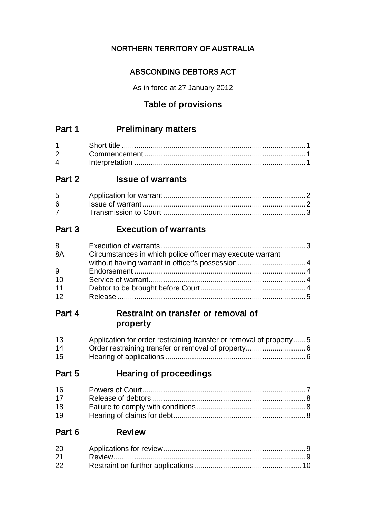## NORTHERN TERRITORY OF AUSTRALIA

## ABSCONDING DEBTORS ACT

As in force at 27 January 2012

## Table of provisions

## Part 1 Preliminary matters

| $\mathbf 4$ |  |
|-------------|--|

## Part 2 **Issue of warrants**

| $6 \qquad$ |  |
|------------|--|
|            |  |

## Part 3 Execution of warrants

| 8  |                                                           |  |
|----|-----------------------------------------------------------|--|
| 8A | Circumstances in which police officer may execute warrant |  |
|    |                                                           |  |
| 9  |                                                           |  |
| 10 |                                                           |  |
| 11 |                                                           |  |
| 12 |                                                           |  |

## Part 4 Restraint on transfer or removal of property

| 13 | Application for order restraining transfer or removal of property5 |
|----|--------------------------------------------------------------------|
| 14 |                                                                    |
| 15 |                                                                    |

## Part 5 Hearing of proceedings

| 16 |  |
|----|--|
| 17 |  |
| 18 |  |
| 19 |  |

## Part 6 Review

| 20 |  |
|----|--|
| 21 |  |
| 22 |  |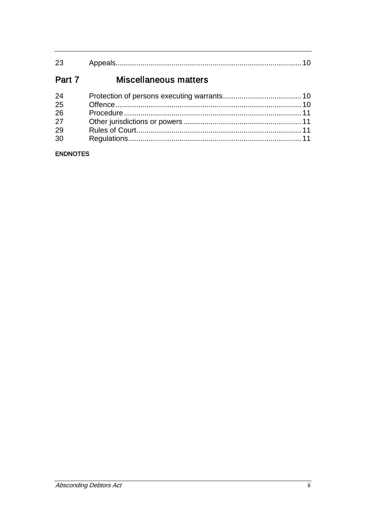#### Part 7 Miscellaneous matters

| 24 |  |
|----|--|
| 25 |  |
| 26 |  |
| 27 |  |
| 29 |  |
| 30 |  |

### **ENDNOTES**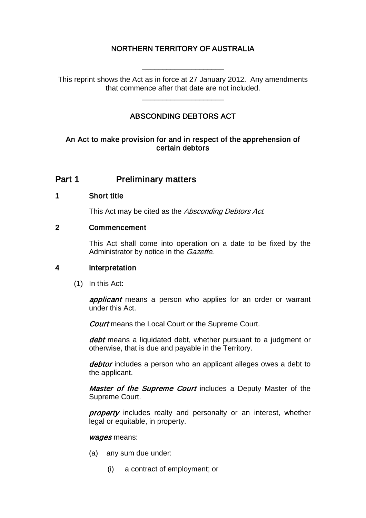## NORTHERN TERRITORY OF AUSTRALIA

\_\_\_\_\_\_\_\_\_\_\_\_\_\_\_\_\_\_\_\_

This reprint shows the Act as in force at 27 January 2012. Any amendments that commence after that date are not included.

## ABSCONDING DEBTORS ACT

\_\_\_\_\_\_\_\_\_\_\_\_\_\_\_\_\_\_\_\_

#### An Act to make provision for and in respect of the apprehension of certain debtors

## Part 1 **Preliminary matters**

#### 1 Short title

This Act may be cited as the Absconding Debtors Act.

#### 2 Commencement

This Act shall come into operation on a date to be fixed by the Administrator by notice in the *Gazette*.

#### 4 Interpretation

(1) In this Act:

applicant means a person who applies for an order or warrant under this Act.

Court means the Local Court or the Supreme Court.

debt means a liquidated debt, whether pursuant to a judgment or otherwise, that is due and payable in the Territory.

debtor includes a person who an applicant alleges owes a debt to the applicant.

Master of the Supreme Court includes a Deputy Master of the Supreme Court.

property includes realty and personalty or an interest, whether legal or equitable, in property.

#### wages means:

- (a) any sum due under:
	- (i) a contract of employment; or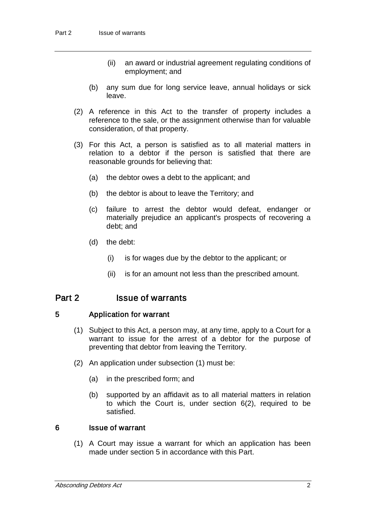- (ii) an award or industrial agreement regulating conditions of employment; and
- (b) any sum due for long service leave, annual holidays or sick leave.
- (2) A reference in this Act to the transfer of property includes a reference to the sale, or the assignment otherwise than for valuable consideration, of that property.
- (3) For this Act, a person is satisfied as to all material matters in relation to a debtor if the person is satisfied that there are reasonable grounds for believing that:
	- (a) the debtor owes a debt to the applicant; and
	- (b) the debtor is about to leave the Territory; and
	- (c) failure to arrest the debtor would defeat, endanger or materially prejudice an applicant's prospects of recovering a debt; and
	- (d) the debt:
		- (i) is for wages due by the debtor to the applicant; or
		- (ii) is for an amount not less than the prescribed amount.

### Part 2 **Issue of warrants**

#### 5 Application for warrant

- (1) Subject to this Act, a person may, at any time, apply to a Court for a warrant to issue for the arrest of a debtor for the purpose of preventing that debtor from leaving the Territory.
- (2) An application under subsection (1) must be:
	- (a) in the prescribed form; and
	- (b) supported by an affidavit as to all material matters in relation to which the Court is, under section 6(2), required to be satisfied.

#### 6 Issue of warrant

(1) A Court may issue a warrant for which an application has been made under section 5 in accordance with this Part.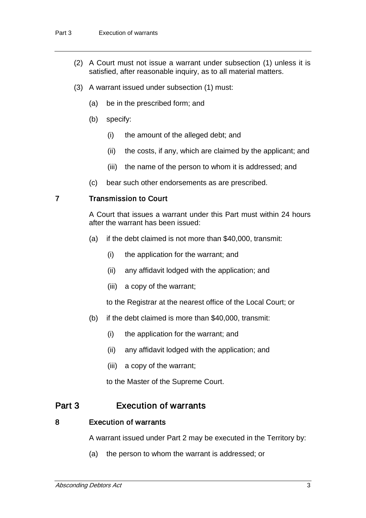- (2) A Court must not issue a warrant under subsection (1) unless it is satisfied, after reasonable inquiry, as to all material matters.
- (3) A warrant issued under subsection (1) must:
	- (a) be in the prescribed form; and
	- (b) specify:
		- (i) the amount of the alleged debt; and
		- (ii) the costs, if any, which are claimed by the applicant; and
		- (iii) the name of the person to whom it is addressed; and
	- (c) bear such other endorsements as are prescribed.

#### 7 Transmission to Court

A Court that issues a warrant under this Part must within 24 hours after the warrant has been issued:

- (a) if the debt claimed is not more than \$40,000, transmit:
	- (i) the application for the warrant; and
	- (ii) any affidavit lodged with the application; and
	- (iii) a copy of the warrant;

to the Registrar at the nearest office of the Local Court; or

- (b) if the debt claimed is more than \$40,000, transmit:
	- (i) the application for the warrant; and
	- (ii) any affidavit lodged with the application; and
	- (iii) a copy of the warrant;

to the Master of the Supreme Court.

## Part 3 Execution of warrants

#### 8 Execution of warrants

A warrant issued under Part 2 may be executed in the Territory by:

(a) the person to whom the warrant is addressed; or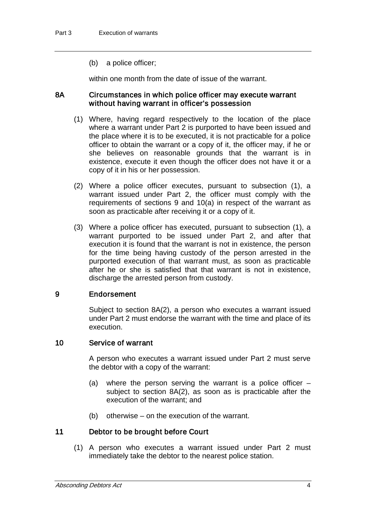(b) a police officer;

within one month from the date of issue of the warrant.

#### 8A Circumstances in which police officer may execute warrant without having warrant in officer's possession

- (1) Where, having regard respectively to the location of the place where a warrant under Part 2 is purported to have been issued and the place where it is to be executed, it is not practicable for a police officer to obtain the warrant or a copy of it, the officer may, if he or she believes on reasonable grounds that the warrant is in existence, execute it even though the officer does not have it or a copy of it in his or her possession.
- (2) Where a police officer executes, pursuant to subsection (1), a warrant issued under Part 2, the officer must comply with the requirements of sections 9 and 10(a) in respect of the warrant as soon as practicable after receiving it or a copy of it.
- (3) Where a police officer has executed, pursuant to subsection (1), a warrant purported to be issued under Part 2, and after that execution it is found that the warrant is not in existence, the person for the time being having custody of the person arrested in the purported execution of that warrant must, as soon as practicable after he or she is satisfied that that warrant is not in existence, discharge the arrested person from custody.

#### 9 Endorsement

Subject to section 8A(2), a person who executes a warrant issued under Part 2 must endorse the warrant with the time and place of its execution.

#### 10 Service of warrant

A person who executes a warrant issued under Part 2 must serve the debtor with a copy of the warrant:

- (a) where the person serving the warrant is a police officer  $$ subject to section 8A(2), as soon as is practicable after the execution of the warrant; and
- (b) otherwise on the execution of the warrant.

#### 11 Debtor to be brought before Court

(1) A person who executes a warrant issued under Part 2 must immediately take the debtor to the nearest police station.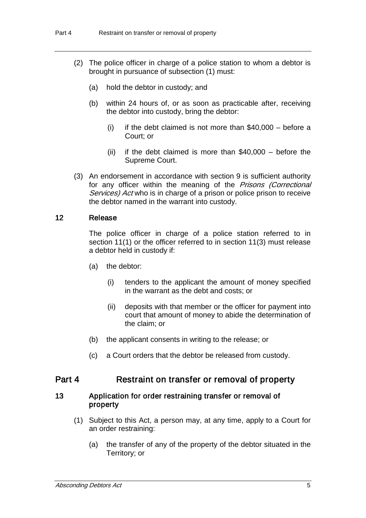- (2) The police officer in charge of a police station to whom a debtor is brought in pursuance of subsection (1) must:
	- (a) hold the debtor in custody; and
	- (b) within 24 hours of, or as soon as practicable after, receiving the debtor into custody, bring the debtor:
		- $(i)$  if the debt claimed is not more than \$40,000 before a Court; or
		- (ii) if the debt claimed is more than  $$40,000 -$  before the Supreme Court.
- (3) An endorsement in accordance with section 9 is sufficient authority for any officer within the meaning of the Prisons (Correctional Services) Act who is in charge of a prison or police prison to receive the debtor named in the warrant into custody.

#### 12 Release

The police officer in charge of a police station referred to in section 11(1) or the officer referred to in section 11(3) must release a debtor held in custody if:

- (a) the debtor:
	- (i) tenders to the applicant the amount of money specified in the warrant as the debt and costs; or
	- (ii) deposits with that member or the officer for payment into court that amount of money to abide the determination of the claim; or
- (b) the applicant consents in writing to the release; or
- (c) a Court orders that the debtor be released from custody.

#### Part 4 Restraint on transfer or removal of property

#### 13 Application for order restraining transfer or removal of property

- (1) Subject to this Act, a person may, at any time, apply to a Court for an order restraining:
	- (a) the transfer of any of the property of the debtor situated in the Territory; or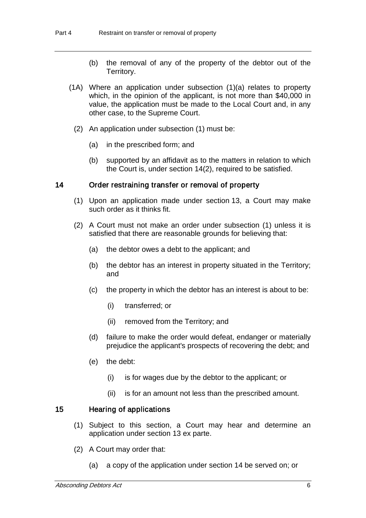- (b) the removal of any of the property of the debtor out of the Territory.
- (1A) Where an application under subsection (1)(a) relates to property which, in the opinion of the applicant, is not more than \$40,000 in value, the application must be made to the Local Court and, in any other case, to the Supreme Court.
	- (2) An application under subsection (1) must be:
		- (a) in the prescribed form; and
		- (b) supported by an affidavit as to the matters in relation to which the Court is, under section 14(2), required to be satisfied.

#### 14 Order restraining transfer or removal of property

- (1) Upon an application made under section 13, a Court may make such order as it thinks fit.
- (2) A Court must not make an order under subsection (1) unless it is satisfied that there are reasonable grounds for believing that:
	- (a) the debtor owes a debt to the applicant; and
	- (b) the debtor has an interest in property situated in the Territory; and
	- (c) the property in which the debtor has an interest is about to be:
		- (i) transferred; or
		- (ii) removed from the Territory; and
	- (d) failure to make the order would defeat, endanger or materially prejudice the applicant's prospects of recovering the debt; and
	- (e) the debt:
		- (i) is for wages due by the debtor to the applicant; or
		- (ii) is for an amount not less than the prescribed amount.

#### 15 Hearing of applications

- (1) Subject to this section, a Court may hear and determine an application under section 13 ex parte.
- (2) A Court may order that:
	- (a) a copy of the application under section 14 be served on; or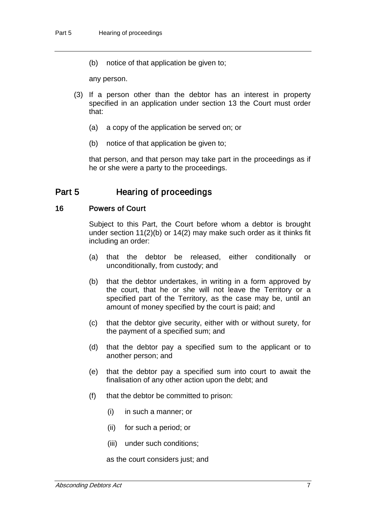(b) notice of that application be given to;

any person.

- (3) If a person other than the debtor has an interest in property specified in an application under section 13 the Court must order that:
	- (a) a copy of the application be served on; or
	- (b) notice of that application be given to;

that person, and that person may take part in the proceedings as if he or she were a party to the proceedings.

## Part 5 Hearing of proceedings

#### 16 Powers of Court

Subject to this Part, the Court before whom a debtor is brought under section 11(2)(b) or 14(2) may make such order as it thinks fit including an order:

- (a) that the debtor be released, either conditionally or unconditionally, from custody; and
- (b) that the debtor undertakes, in writing in a form approved by the court, that he or she will not leave the Territory or a specified part of the Territory, as the case may be, until an amount of money specified by the court is paid; and
- (c) that the debtor give security, either with or without surety, for the payment of a specified sum; and
- (d) that the debtor pay a specified sum to the applicant or to another person; and
- (e) that the debtor pay a specified sum into court to await the finalisation of any other action upon the debt; and
- (f) that the debtor be committed to prison:
	- (i) in such a manner; or
	- (ii) for such a period; or
	- (iii) under such conditions;

as the court considers just; and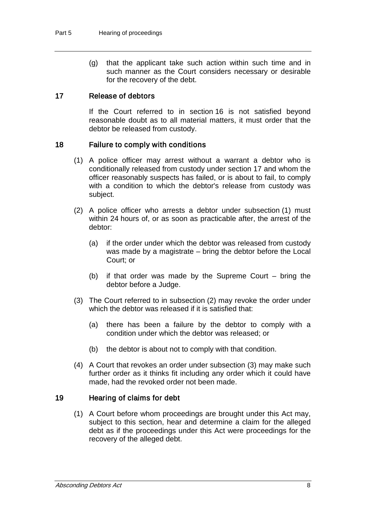(g) that the applicant take such action within such time and in such manner as the Court considers necessary or desirable for the recovery of the debt.

#### 17 Release of debtors

If the Court referred to in section 16 is not satisfied beyond reasonable doubt as to all material matters, it must order that the debtor be released from custody.

#### 18 Failure to comply with conditions

- (1) A police officer may arrest without a warrant a debtor who is conditionally released from custody under section 17 and whom the officer reasonably suspects has failed, or is about to fail, to comply with a condition to which the debtor's release from custody was subject.
- (2) A police officer who arrests a debtor under subsection (1) must within 24 hours of, or as soon as practicable after, the arrest of the debtor:
	- (a) if the order under which the debtor was released from custody was made by a magistrate – bring the debtor before the Local Court; or
	- (b) if that order was made by the Supreme Court bring the debtor before a Judge.
- (3) The Court referred to in subsection (2) may revoke the order under which the debtor was released if it is satisfied that:
	- (a) there has been a failure by the debtor to comply with a condition under which the debtor was released; or
	- (b) the debtor is about not to comply with that condition.
- (4) A Court that revokes an order under subsection (3) may make such further order as it thinks fit including any order which it could have made, had the revoked order not been made.

#### 19 Hearing of claims for debt

(1) A Court before whom proceedings are brought under this Act may, subject to this section, hear and determine a claim for the alleged debt as if the proceedings under this Act were proceedings for the recovery of the alleged debt.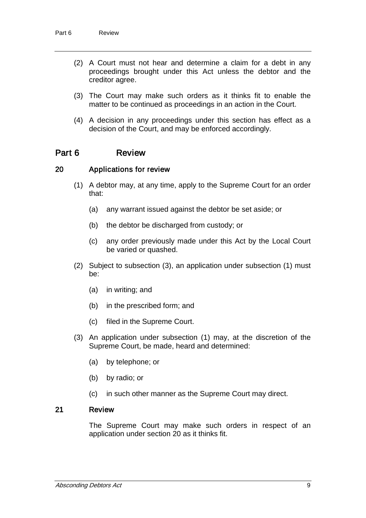- (2) A Court must not hear and determine a claim for a debt in any proceedings brought under this Act unless the debtor and the creditor agree.
- (3) The Court may make such orders as it thinks fit to enable the matter to be continued as proceedings in an action in the Court.
- (4) A decision in any proceedings under this section has effect as a decision of the Court, and may be enforced accordingly.

## Part 6 Review

#### 20 Applications for review

- (1) A debtor may, at any time, apply to the Supreme Court for an order that:
	- (a) any warrant issued against the debtor be set aside; or
	- (b) the debtor be discharged from custody; or
	- (c) any order previously made under this Act by the Local Court be varied or quashed.
- (2) Subject to subsection (3), an application under subsection (1) must be:
	- (a) in writing; and
	- (b) in the prescribed form; and
	- (c) filed in the Supreme Court.
- (3) An application under subsection (1) may, at the discretion of the Supreme Court, be made, heard and determined:
	- (a) by telephone; or
	- (b) by radio; or
	- (c) in such other manner as the Supreme Court may direct.

#### 21 Review

The Supreme Court may make such orders in respect of an application under section 20 as it thinks fit.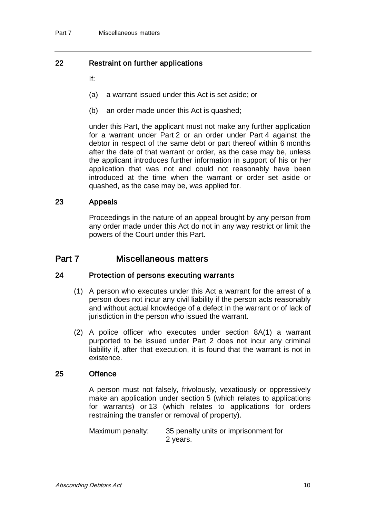### 22 Restraint on further applications

If:

- (a) a warrant issued under this Act is set aside; or
- (b) an order made under this Act is quashed;

under this Part, the applicant must not make any further application for a warrant under Part 2 or an order under Part 4 against the debtor in respect of the same debt or part thereof within 6 months after the date of that warrant or order, as the case may be, unless the applicant introduces further information in support of his or her application that was not and could not reasonably have been introduced at the time when the warrant or order set aside or quashed, as the case may be, was applied for.

#### 23 Appeals

Proceedings in the nature of an appeal brought by any person from any order made under this Act do not in any way restrict or limit the powers of the Court under this Part.

## Part 7 Miscellaneous matters

#### 24 Protection of persons executing warrants

- (1) A person who executes under this Act a warrant for the arrest of a person does not incur any civil liability if the person acts reasonably and without actual knowledge of a defect in the warrant or of lack of jurisdiction in the person who issued the warrant.
- (2) A police officer who executes under section 8A(1) a warrant purported to be issued under Part 2 does not incur any criminal liability if, after that execution, it is found that the warrant is not in existence.

#### 25 Offence

A person must not falsely, frivolously, vexatiously or oppressively make an application under section 5 (which relates to applications for warrants) or 13 (which relates to applications for orders restraining the transfer or removal of property).

Maximum penalty: 35 penalty units or imprisonment for 2 years.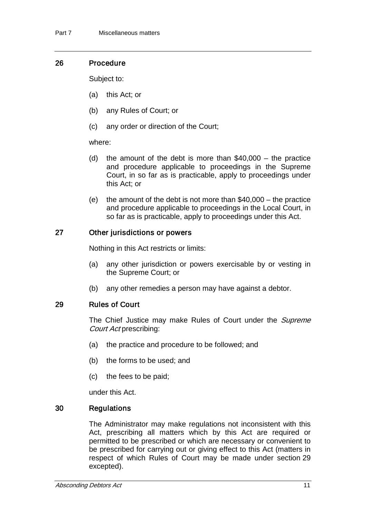#### 26 Procedure

Subject to:

- (a) this Act; or
- (b) any Rules of Court; or
- (c) any order or direction of the Court;

#### where:

- (d) the amount of the debt is more than  $$40,000 -$  the practice and procedure applicable to proceedings in the Supreme Court, in so far as is practicable, apply to proceedings under this Act; or
- (e) the amount of the debt is not more than  $$40,000 -$  the practice and procedure applicable to proceedings in the Local Court, in so far as is practicable, apply to proceedings under this Act.

### 27 Other jurisdictions or powers

Nothing in this Act restricts or limits:

- (a) any other jurisdiction or powers exercisable by or vesting in the Supreme Court; or
- (b) any other remedies a person may have against a debtor.

#### 29 Rules of Court

The Chief Justice may make Rules of Court under the *Supreme* Court Act prescribing:

- (a) the practice and procedure to be followed; and
- (b) the forms to be used; and
- (c) the fees to be paid;

under this Act.

#### 30 Regulations

The Administrator may make regulations not inconsistent with this Act, prescribing all matters which by this Act are required or permitted to be prescribed or which are necessary or convenient to be prescribed for carrying out or giving effect to this Act (matters in respect of which Rules of Court may be made under section 29 excepted).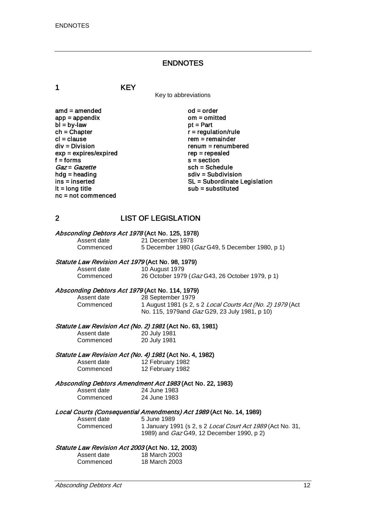#### ENDNOTES

1 KEY

Key to abbreviations

amd = amended od = order<br>app = appendix om = omitted  $app = appendix$  om = om<br>  $bl = by-law$  of = Part  $bl = by-law$ <br>ch = Chapter  $ch = Chapter$ <br>  $cl = clause$  regulation/rule cl = clause rem = remainder<br>div = Division rem = remumber  $exp = expires/expired$ <br>f = forms f = forms s = section<br>  $Gaz = Gazette$  sch = Sche  $Gaz = Gazette$ <br>hdg = heading sch = Schedule<br>sch = Subdivisi hdg = heading solution<br>ins = inserted solution<br>SL = Subordinate L nc = not commenced

 $renum = renumbered$ <br> $rep = rep\end{eq}$ ins = inserted state of the SL = Subordinate Legislation<br>  $\mathsf{I} \mathsf{t} = \mathsf{long}$  title state of the substituted substituted substituted  $sub =$  substituted

### 2 LIST OF LEGISLATION

## Absconding Debtors Act 1978 (Act No. 125, 1978)<br>Assent date 21 December 1978

Assent date 21 December 1978<br>Commenced 5 December 1980 ( 5 December 1980 (Gaz G49, 5 December 1980, p 1)

26 October 1979 (Gaz G43, 26 October 1979, p 1)

#### Statute Law Revision Act 1979 (Act No. 98, 1979)

Assent date 10 August 1979<br>Commenced 26 October 1979

# Absconding Debtors Act 1979 (Act No. 114, 1979)<br>Assent date 28 September 1979

#### Assent date 28 September 1979<br>Commenced 1 August 1981 (s 2 1 August 1981 (s 2, s 2 Local Courts Act (No. 2) 1979 (Act No. 115, 1979and Gaz G29, 23 July 1981, p 10)

## Statute Law Revision Act (No. 2) 1981 (Act No. 63, 1981)<br>Assent date 20 July 1981

| Assent date | 20 July 1981 |
|-------------|--------------|
| Commenced   | 20 July 1981 |

## Statute Law Revision Act (No. 4) 1981 (Act No. 4, 1982)<br>Assent date 12 February 1982

12 February 1982 Commenced 12 February 1982

## Absconding Debtors Amendment Act 1983 (Act No. 22, 1983)<br>Assent date 24 June 1983

Assent date 24 June 1983<br>Commenced 24 June 1983

# 24 June 1983

#### Local Courts (Consequential Amendments) Act 1989 (Act No. 14, 1989)

Assent date 5 June 1989 Commenced 1 January 1991 (s 2, s 2 Local Court Act 1989 (Act No. 31, 1989) and Gaz G49, 12 December 1990, p 2)

#### Statute Law Revision Act 2003 (Act No. 12, 2003)

| Assent date | 18 March 2003 |
|-------------|---------------|
| Commenced   | 18 March 2003 |